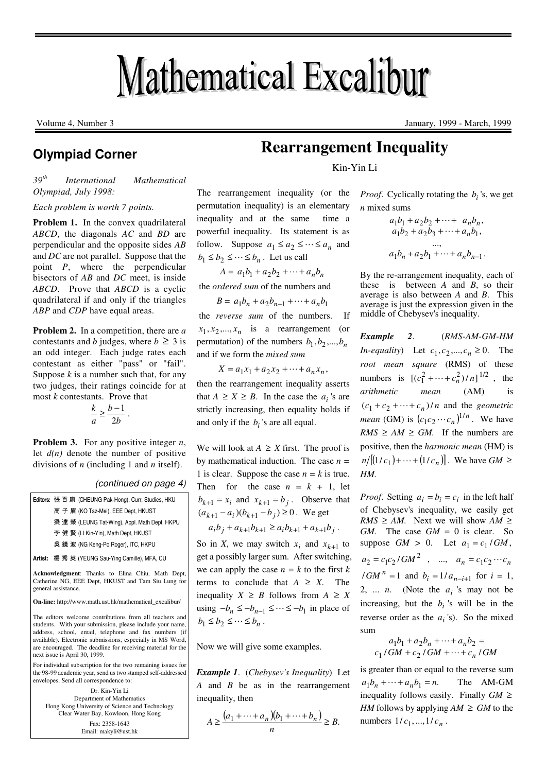# **Mathematical Excalibur**

# **Olympiad Corner**

*39th International Mathematical Olympiad, July 1998:* 

*Each problem is worth 7 points.* 

**Problem 1.** In the convex quadrilateral *ABCD*, the diagonals *AC* and *BD* are perpendicular and the opposite sides *AB* and *DC* are not parallel. Suppose that the point *P*, where the perpendicular bisectors of *AB* and *DC* meet, is inside *ABCD*. Prove that *ABCD* is a cyclic quadrilateral if and only if the triangles *ABP* and *CDP* have equal areas.

**Problem 2.** In a competition, there are *a* contestants and *b* judges, where  $b \geq 3$  is an odd integer. Each judge rates each contestant as either "pass" or "fail". Suppose  $k$  is a number such that, for any two judges, their ratings coincide for at most *k* contestants. Prove that

$$
\frac{k}{a} \ge \frac{b-1}{2b} \, .
$$

**Problem 3.** For any positive integer *n*, let  $d(n)$  denote the number of positive divisions of *n* (including 1 and *n* itself).

| (continued on page 4) |  |  |  |
|-----------------------|--|--|--|
|-----------------------|--|--|--|

|                                                                                                                                 | <b>Editors: 張百康 (CHEUNG Pak-Hong), Curr. Studies, HKU</b> |  |
|---------------------------------------------------------------------------------------------------------------------------------|-----------------------------------------------------------|--|
|                                                                                                                                 | 高子眉(KO Tsz-Mei), EEE Dept, HKUST                          |  |
|                                                                                                                                 | 梁達榮 (LEUNG Tat-Wing), Appl. Math Dept, HKPU               |  |
|                                                                                                                                 | 李健賢 (LI Kin-Yin), Math Dept, HKUST                        |  |
|                                                                                                                                 | 吳鏡波 (NG Keng-Po Roger), ITC, HKPU                         |  |
|                                                                                                                                 | Artist: 楊秀英 (YEUNG Sau-Ying Camille), MFA, CU             |  |
| Acknowledgment: Thanks to Elina Chiu, Math Dept,<br>$C \cup \cdots$ and $D \cap D \cup \cdots$ international integration of $C$ |                                                           |  |

Catherine NG, EEE Dept, HKUST and Tam Siu Lung for general assistance.

**On-line:** http://www.math.ust.hk/mathematical\_excalibur/

The editors welcome contributions from all teachers and students. With your submission, please include your name, address, school, email, telephone and fax numbers (if available). Electronic submissions, especially in MS Word, are encouraged. The deadline for receiving material for the next issue is April 30, 1999.

For individual subscription for the two remaining issues for the 98-99 academic year, send us two stamped self-addressed envelopes. Send all correspondence to:

Dr. Kin-Yin Li Department of Mathematics Hong Kong University of Science and Technology Clear Water Bay, Kowloon, Hong Kong Fax: 2358-1643 Email: makyli@ust.hk

# **Rearrangement Inequality**

Kin-Yin Li

The rearrangement inequality (or the permutation inequality) is an elementary inequality and at the same time a powerful inequality. Its statement is as follow. Suppose  $a_1 \le a_2 \le \cdots \le a_n$  and  $b_1 \leq b_2 \leq \cdots \leq b_n$ . Let us call

 $A = a_1b_1 + a_2b_2 + \cdots + a_nb_n$ 

the *ordered sum* of the numbers and

$$
B = a_1b_n + a_2b_{n-1} + \dots + a_nb_1
$$

 the *reverse sum* of the numbers. If  $x_1, x_2, \dots, x_n$  is a rearrangement (or permutation) of the numbers  $b_1, b_2, ..., b_n$ and if we form the *mixed sum*

 $X = a_1 x_1 + a_2 x_2 + \cdots + a_n x_n,$ 

then the rearrangement inequality asserts that  $A \ge X \ge B$ . In the case the  $a_i$ 's are strictly increasing, then equality holds if and only if the  $b_i$ 's are all equal.

We will look at  $A \geq X$  first. The proof is by mathematical induction. The case *n =*  1 is clear. Suppose the case  $n = k$  is true. Then for the case  $n = k + 1$ , let  $b_{k+1} = x_i$  and  $x_{k+1} = b_j$ . Observe that  $(a_{k+1} - a_i)(b_{k+1} - b_j) \ge 0$ . We get  $a_i b_j + a_{k+1} b_{k+1} \ge a_i b_{k+1} + a_{k+1} b_j$ .

So in *X*, we may switch  $x_i$  and  $x_{k+1}$  to get a possibly larger sum. After switching, we can apply the case  $n = k$  to the first  $k$ terms to conclude that  $A \geq X$ . The inequality  $X \geq B$  follows from  $A \geq X$ using  $-b_n \leq -b_{n-1} \leq \cdots \leq -b_1$  in place of  $b_1 \leq b_2 \leq \cdots \leq b_n$ .

Now we will give some examples.

*Example 1*. (*Chebysev's Inequality*) Let *A* and *B* be as in the rearrangement inequality, then

$$
A \ge \frac{(a_1 + \dots + a_n)(b_1 + \dots + b_n)}{n} \ge B.
$$

*Proof.* Cyclically rotating the  $b_i$ 's, we get *n* mixed sums

$$
a_1b_1 + a_2b_2 + \dots + a_nb_n,
$$
  
\n
$$
a_1b_2 + a_2b_3 + \dots + a_nb_1,
$$
  
\n...  
\n
$$
a_1b_n + a_2b_1 + \dots + a_nb_{n-1}.
$$

By the re-arrangement inequality, each of these is between *A* and *B*, so their average is also between *A* and *B*. This average is just the expression given in the middle of Chebysev's inequality.

*Example 2*. (*RMS-AM-GM-HM In-equality*) Let  $c_1, c_2, ..., c_n \ge 0$ . The *root mean square* (RMS) of these numbers is  $[(c_1^2 + \dots + c_n^2)/n]^{1/2}$ , the *arithmetic mean* (AM) is  $(c_1 + c_2 + \cdots + c_n)/n$  and the *geometric mean* (GM) is  $(c_1c_2 \cdots c_n)^{1/n}$ . We have  $RMS \ge AM \ge GM$ . If the numbers are positive, then the *harmonic mean* (HM) is  $n/[(1/c_1)+\cdots+(1/c_n)]$ . We have  $GM \ge$ *HM.*

*Proof.* Setting  $a_i = b_i = c_i$  in the left half of Chebysev's inequality, we easily get  $RMS \ge AM$ . Next we will show  $AM \ge$ *GM.* The case *GM* = 0 is clear. So suppose  $GM > 0$ . Let  $a_1 = c_1/GM$ ,  $a_2 = c_1 c_2 / GM^2$ , ...,  $a_n = c_1 c_2 \cdots c_n$  $\int$ /*GM*<sup>*n*</sup></sup> = 1 and *b*<sub>*i*</sub> = 1/*a*<sub>*n*−*i*+1</sub> for *i* = 1, 2, ... *n*. (Note the  $a_i$ 's may not be increasing, but the  $b_i$  's will be in the reverse order as the  $a_i$ 's). So the mixed sum

$$
a_1b_1 + a_2b_n + \dots + a_nb_2 =
$$
  

$$
c_1/GM + c_2/GM + \dots + c_n/GM
$$

is greater than or equal to the reverse sum  $a_1 b_n + \dots + a_n b_1 = n.$  The AM-GM inequality follows easily. Finally *GM* ≥ *HM* follows by applying  $AM \ge GM$  to the numbers  $1/c_1$ , ...,  $1/c_n$ .

Volume 4, Number 3 January, 1999 - March, 1999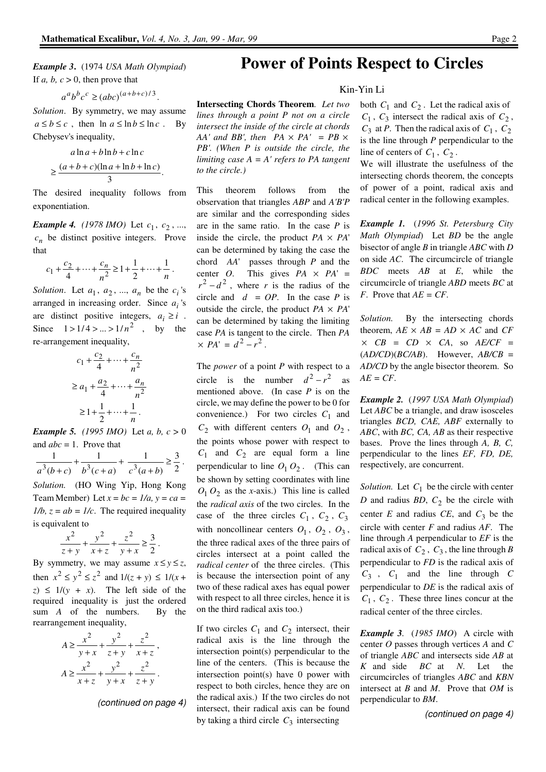.

*to the circle.)*

 $\times$  *PA*' =  $d^2 - r^2$ .

on the third radical axis too.)

If two circles  $C_1$  and  $C_2$  intersect, their radical axis is the line through the intersection point(s) perpendicular to the line of the centers. (This is because the intersection point(s) have 0 power with respect to both circles, hence they are on the radical axis.) If the two circles do not intersect, their radical axis can be found by taking a third circle  $C_3$  intersecting

This theorem follows from the observation that triangles *ABP* and *A'B'P* are similar and the corresponding sides are in the same ratio. In the case *P* is inside the circle, the product  $PA \times PA'$ can be determined by taking the case the chord *AA*' passes through *P* and the center *O*. This gives  $PA \times PA' =$  $r^2 - d^2$ , where *r* is the radius of the circle and  $d = OP$ . In the case *P* is outside the circle, the product  $PA \times PA'$ can be determined by taking the limiting case *PA* is tangent to the circle. Then *PA*

The *power* of a point *P* with respect to a circle is the number  $d^2 - r^2$  as mentioned above. (In case *P* is on the circle, we may define the power to be 0 for convenience.) For two circles  $C_1$  and  $C_2$  with different centers  $O_1$  and  $O_2$ , the points whose power with respect to  $C_1$  and  $C_2$  are equal form a line perpendicular to line  $O_1 O_2$ . (This can be shown by setting coordinates with line  $O_1 O_2$  as the *x*-axis.) This line is called the *radical axis* of the two circles. In the case of the three circles  $C_1$ ,  $C_2$ ,  $C_3$ with noncollinear centers  $O_1$ ,  $O_2$ ,  $O_3$ , the three radical axes of the three pairs of circles intersect at a point called the *radical center* of the three circles. (This is because the intersection point of any two of these radical axes has equal power with respect to all three circles, hence it is

# *Example 3***.** (1974 *USA Math Olympiad*) If  $a, b, c > 0$ , then prove that

 $a^a b^b c^c \geq (abc)^{(a+b+c)/3}.$ 

*Solution*. By symmetry, we may assume  $a \le b \le c$ , then  $\ln a \le \ln b \le \ln c$ . By Chebysev's inequality,

$$
a \ln a + b \ln b + c \ln c
$$
  
\n
$$
\geq \frac{(a+b+c)(\ln a + \ln b + \ln c)}{3}
$$

The desired inequality follows from exponentiation.

*Example 4. (1978 IMO)* Let  $c_1, c_2, ...,$  $c_n$  be distinct positive integers. Prove that

$$
c_1 + \frac{c_2}{4} + \dots + \frac{c_n}{n^2} \ge 1 + \frac{1}{2} + \dots + \frac{1}{n}.
$$

*Solution*. Let  $a_1$ ,  $a_2$ , ...,  $a_n$  be the  $c_i$ 's arranged in increasing order. Since  $a_i$ 's are distinct positive integers,  $a_i \ge i$ . Since  $1 > 1/4 > ... > 1/n^2$ , by the re-arrangement inequality,

$$
c_1 + \frac{c_2}{4} + \dots + \frac{c_n}{n^2}
$$
  
\n
$$
\geq a_1 + \frac{a_2}{4} + \dots + \frac{a_n}{n^2}
$$
  
\n
$$
\geq 1 + \frac{1}{2} + \dots + \frac{1}{n}.
$$

*Example 5. (1995 IMO)* Let *a, b, c* > 0 and *abc* = 1. Prove that

$$
\frac{1}{a^3(b+c)} + \frac{1}{b^3(c+a)} + \frac{1}{c^3(a+b)} \ge \frac{3}{2}.
$$

*Solution.* (HO Wing Yip, Hong Kong Team Member) Let  $x = bc = 1/a$ ,  $y = ca =$  $1/b$ ,  $z = ab = 1/c$ . The required inequality is equivalent to

$$
\frac{x^2}{z+y} + \frac{y^2}{x+z} + \frac{z^2}{y+x} \ge \frac{3}{2}.
$$

By symmetry, we may assume  $x \le y \le z$ , then  $x^2 \le y^2 \le z^2$  and  $1/(z + y) \le 1/(x + z)$  $z) \leq 1/(y + x)$ . The left side of the required inequality is just the ordered sum *A* of the numbers. By the rearrangement inequality,

$$
A \ge \frac{x^2}{y+x} + \frac{y^2}{z+y} + \frac{z^2}{x+z},
$$
  

$$
A \ge \frac{x^2}{x+z} + \frac{y^2}{y+x} + \frac{z^2}{z+y}.
$$

(continued on page 4)

# **Power of Points Respect to Circles**

## Kin-Yin Li

**Intersecting Chords Theorem**. *Let two lines through a point P not on a circle intersect the inside of the circle at chords AA' and BB', then*  $PA \times PA' = PB \times$ *PB'. (When P is outside the circle, the limiting case A = A' refers to PA tangent*  both  $C_1$  and  $C_2$ . Let the radical axis of  $C_1$ ,  $C_3$  intersect the radical axis of  $C_2$ ,  $C_3$  at *P*. Then the radical axis of  $C_1$ ,  $C_2$ is the line through *P* perpendicular to the line of centers of  $C_1$ ,  $C_2$ .

We will illustrate the usefulness of the intersecting chords theorem, the concepts of power of a point, radical axis and radical center in the following examples.

*Example 1.* (*1996 St. Petersburg City Math Olympiad*) Let *BD* be the angle bisector of angle *B* in triangle *ABC* with *D* on side *AC*. The circumcircle of triangle *BDC* meets *AB* at *E*, while the circumcircle of triangle *ABD* meets *BC* at *F*. Prove that *AE = CF*.

*Solution.* By the intersecting chords theorem,  $AE \times AB = AD \times AC$  and  $CF$  $\times$  *CB* = *CD*  $\times$  *CA*, so *AE/CF* =  $(AD/CD)(BC/AB)$ . However,  $AB/CB =$ *AD/CD* by the angle bisector theorem. So *AE = CF*.

*Example 2.* (*1997 USA Math Olympiad*) Let *ABC* be a triangle, and draw isosceles triangles *BCD, CAE, ABF* externally to *ABC*, with *BC, CA, AB* as their respective bases. Prove the lines through *A, B, C,* perpendicular to the lines *EF, FD, DE,* respectively, are concurrent.

*Solution*. Let  $C_1$  be the circle with center *D* and radius *BD*, *C*<sup>2</sup> be the circle with center  $E$  and radius  $CE$ , and  $C_3$  be the circle with center *F* and radius *AF*. The line through *A* perpendicular to *EF* is the radical axis of  $C_2$ ,  $C_3$ , the line through *B* perpendicular to *FD* is the radical axis of  $C_3$ ,  $C_1$  and the line through *C* perpendicular to *DE* is the radical axis of  $C_1$ ,  $C_2$ . These three lines concur at the radical center of the three circles.

*Example 3.* (*1985 IMO*) A circle with center *O* passes through vertices *A* and *C* of triangle *ABC* and intersects side *AB* at *K* and side *BC* at *N*. Let the circumcircles of triangles *ABC* and *KBN* intersect at *B* and *M*. Prove that *OM* is perpendicular to *BM*.

(continued on page 4)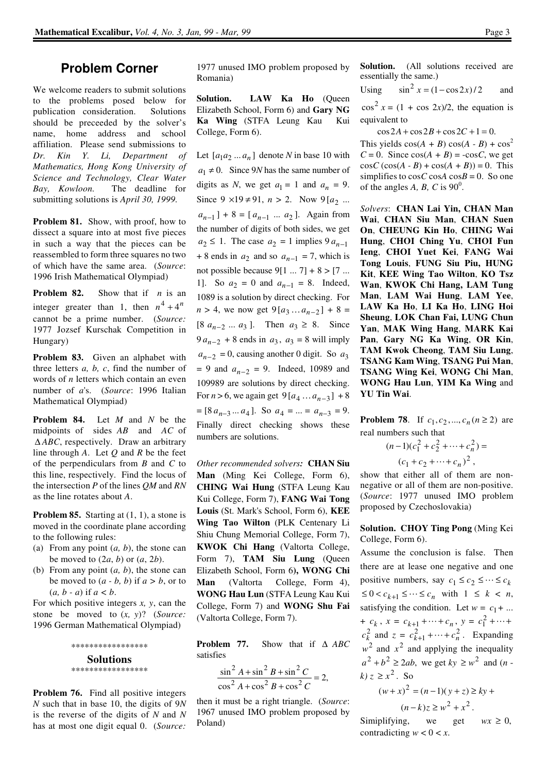# **Problem Corner**

We welcome readers to submit solutions to the problems posed below for publication consideration. Solutions should be preceeded by the solver's name, home address and school affiliation. Please send submissions to *Dr. Kin Y. Li, Department of Mathematics, Hong Kong University of Science and Technology, Clear Water Bay, Kowloon.* The deadline for submitting solutions is *April 30, 1999.* 

**Problem 81.** Show, with proof, how to dissect a square into at most five pieces in such a way that the pieces can be reassembled to form three squares no two of which have the same area. (*Source*: 1996 Irish Mathematical Olympiad)

**Problem 82.** Show that if *n* is an integer greater than 1, then  $n^4 + 4^n$ cannot be a prime number. (*Source:* 1977 Jozsef Kurschak Competition in Hungary)

**Problem 83.** Given an alphabet with three letters *a, b, c*, find the number of words of *n* letters which contain an even number of *a*'s. (*Source*: 1996 Italian Mathematical Olympiad)

**Problem 84.** Let *M* and *N* be the midpoints of sides *AB* and *AC* of ∆ *ABC*, respectively. Draw an arbitrary line through *A*. Let *Q* and *R* be the feet of the perpendiculars from *B* and *C* to this line, respectively. Find the locus of the intersection *P* of the lines *QM* and *RN* as the line rotates about *A*.

**Problem 85.** Starting at  $(1, 1)$ , a stone is moved in the coordinate plane according to the following rules:

- (a) From any point (*a, b*), the stone can be moved to  $(2a, b)$  or  $(a, 2b)$ .
- (b) From any point (*a, b*), the stone can be moved to  $(a - b, b)$  if  $a > b$ , or to (*a, b - a*) if *a < b*.

For which positive integers *x, y*, can the stone be moved to (*x, y*)? (*Source:*  1996 German Mathematical Olympiad)

> \*\*\*\*\*\*\*\*\*\*\*\*\*\*\*\*\* **Solutions**  \*\*\*\*\*\*\*\*\*\*\*\*\*\*\*\*\*

**Problem 76.** Find all positive integers *N* such that in base 10, the digits of 9*N*  is the reverse of the digits of *N* and *N* has at most one digit equal 0. (*Source:*

1977 unused IMO problem proposed by Romania)

**Solution. LAW Ka Ho** (Queen Elizabeth School, Form 6) and **Gary NG Ka Wing** (STFA Leung Kau Kui College, Form 6).

Let  $[a_1 a_2 ... a_n]$  denote *N* in base 10 with  $a_1 \neq 0$ . Since 9*N* has the same number of digits as *N*, we get  $a_1 = 1$  and  $a_n = 9$ . Since  $9 \times 19 \neq 91$ ,  $n > 2$ . Now  $9[a_2]$  ...  $a_{n-1}$  | + 8 = [ $a_{n-1}$  ...  $a_2$  ]. Again from the number of digits of both sides, we get  $a_2 \le 1$ . The case  $a_2 = 1$  implies  $9a_{n-1}$  $+ 8$  ends in  $a_2$  and so  $a_{n-1} = 7$ , which is not possible because  $9[1 \dots 7] + 8 > [7 \dots$ 1]. So  $a_2 = 0$  and  $a_{n-1} = 8$ . Indeed, 1089 is a solution by direct checking. For  $n > 4$ , we now get  $9[a_3...a_{n-2}] + 8 =$  $[8 \ a_{n-2} \ ... \ a_3]$ . Then  $a_3 \ge 8$ . Since  $9a_{n-2} + 8$  ends in  $a_3$ ,  $a_3 = 8$  will imply  $a_{n-2} = 0$ , causing another 0 digit. So  $a_3$  $= 9$  and  $a_{n-2} = 9$ . Indeed, 10989 and 109989 are solutions by direct checking. For  $n > 6$ , we again get  $9[a_4 ... a_{n-3}] + 8$  $= [8 a_{n-3} ... a_4].$  So  $a_4 = ... = a_{n-3} = 9.$ Finally direct checking shows these numbers are solutions.

*Other recommended solvers:* **CHAN Siu Man** (Ming Kei College, Form 6), **CHING Wai Hung** (STFA Leung Kau Kui College, Form 7), **FANG Wai Tong Louis** (St. Mark's School, Form 6), **KEE Wing Tao Wilton** (PLK Centenary Li Shiu Chung Memorial College, Form 7), **KWOK Chi Hang** (Valtorta College, Form 7), **TAM Siu Lung** (Queen Elizabeth School, Form 6**), WONG Chi Man** (Valtorta College, Form 4), **WONG Hau Lun** (STFA Leung Kau Kui College, Form 7) and **WONG Shu Fai** (Valtorta College, Form 7).

**Problem 77.** Show that if ∆ *ABC* satisfies

$$
\frac{\sin^2 A + \sin^2 B + \sin^2 C}{\cos^2 A + \cos^2 B + \cos^2 C} = 2,
$$

then it must be a right triangle. (*Source*: 1967 unused IMO problem proposed by Poland)

**Solution.** (All solutions received are essentially the same.)

Using  $\sin^2 x = (1 - \cos 2x)/2$  and

 $\cos^2 x = (1 + \cos 2x)/2$ , the equation is equivalent to

 $\cos 2A + \cos 2B + \cos 2C + 1 = 0$ .

This yields  $cos(A + B) cos(A - B) + cos<sup>2</sup>$  $C = 0$ . Since  $cos(A + B) = -cosC$ , we get  $\cos C (\cos(A - B) + \cos(A + B)) = 0$ . This simplifies to  $\cos C \cos A \cos B = 0$ . So one of the angles  $A$ ,  $B$ ,  $C$  is  $90^0$ .

*Solvers*: **CHAN Lai Yin, CHAN Man Wai**, **CHAN Siu Man**, **CHAN Suen On**, **CHEUNG Kin Ho**, **CHING Wai Hung**, **CHOI Ching Yu**, **CHOI Fun Ieng**, **CHOI Yuet Kei**, **FANG Wai Tong Louis**, **FUNG Siu Piu, HUNG Kit**, **KEE Wing Tao Wilton**, **KO Tsz Wan**, **KWOK Chi Hang, LAM Tung Man**, **LAM Wai Hung**, **LAM Yee**, **LAW Ka Ho**, **LI Ka Ho**, **LING Hoi Sheung**, **LOK Chan Fai, LUNG Chun Yan**, **MAK Wing Hang**, **MARK Kai Pan**, **Gary NG Ka Wing**, **OR Kin**, **TAM Kwok Cheong**, **TAM Siu Lung**, **TSANG Kam Wing**, **TSANG Pui Man**, **TSANG Wing Kei**, **WONG Chi Man**, **WONG Hau Lun**, **YIM Ka Wing** and **YU Tin Wai**.

**Problem 78.** If  $c_1, c_2, ..., c_n$  ( $n \ge 2$ ) are real numbers such that

> $(n-1)(c_1^2 + c_2^2 + \dots + c_n^2) =$  $(c_1 + c_2 + \cdots + c_n)^2$ ,

show that either all of them are nonnegative or all of them are non-positive. (*Source*: 1977 unused IMO problem proposed by Czechoslovakia)

# **Solution. CHOY Ting Pong** (Ming Kei College, Form 6).

Assume the conclusion is false. Then there are at lease one negative and one positive numbers, say  $c_1 \leq c_2 \leq \cdots \leq c_k$  $\leq 0 < c_{k+1} \leq \cdots \leq c_n$  with  $1 \leq k < n$ , satisfying the condition. Let  $w = c_1 + ...$  $c_k$ ,  $x = c_{k+1} + \cdots + c_n$ ,  $y = c_1^2 + \cdots + c_n$  $c_k^2$  and  $z = c_{k+1}^2 + \cdots + c_n^2$ . Expanding  $w^2$  and  $x^2$  and applying the inequality  $a^2 + b^2 \ge 2ab$ , we get  $ky \ge w^2$  and  $(n - b^2)$  $(k) z \geq x^2$ . So  $(w+x)^2 = (n-1)(y+z) \ge ky +$ 

$$
(n-k)z \geq w^2 + x^2.
$$

Simiplifying, we get  $wx \ge 0$ , contradicting  $w < 0 < x$ .